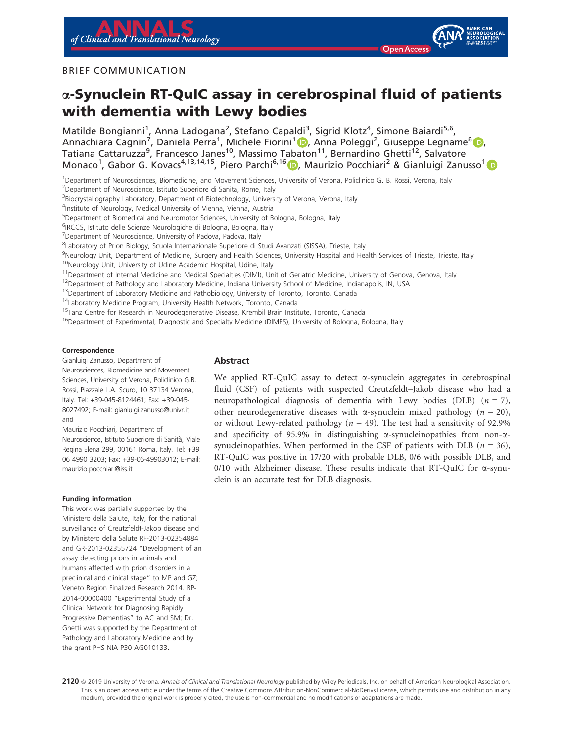

#### BRIEF COMMUNICATION

# a-Synuclein RT-QuIC assay in cerebrospinal fluid of patients with dementia with Lewy bodies

Matilde Bongianni<sup>1</sup>, Anna Ladogana<sup>2</sup>, Stefano Capaldi<sup>3</sup>, Sigrid Klotz<sup>4</sup>, Simone Baiardi<sup>5,6</sup>, Annachiara Cagnin<sup>7</sup>, Daniela Perra<sup>1</sup>, Michele Fiorini<sup>1</sup> D, Anna Poleggi<sup>2</sup>, Giuseppe Legname<sup>8</sup> D, Tatiana Cattaruzza<sup>9</sup>, Francesco Janes<sup>10</sup>, Massimo Tabaton<sup>11</sup>, Bernardino Ghetti<sup>12</sup>, Salvatore Monaco<sup>1</sup>, Gabor G. Kovacs<sup>4,13,14,15</sup>, Piero Parchi<sup>6,16</sup> D, Maurizio Pocchiari<sup>2</sup> & Gianluigi Zanusso<sup>1</sup>

1 Department of Neurosciences, Biomedicine, and Movement Sciences, University of Verona, Policlinico G. B. Rossi, Verona, Italy

<sup>2</sup>Department of Neuroscience, Istituto Superiore di Sanità, Rome, Italy

<sup>3</sup>Biocrystallography Laboratory, Department of Biotechnology, University of Verona, Verona, Italy

4 Institute of Neurology, Medical University of Vienna, Vienna, Austria

5 Department of Biomedical and Neuromotor Sciences, University of Bologna, Bologna, Italy

<sup>6</sup>IRCCS, Istituto delle Scienze Neurologiche di Bologna, Bologna, Italy

<sup>7</sup>Department of Neuroscience, University of Padova, Padova, Italy

8 Laboratory of Prion Biology, Scuola Internazionale Superiore di Studi Avanzati (SISSA), Trieste, Italy

9Neurology Unit, Department of Medicine, Surgery and Health Sciences, University Hospital and Health Services of Trieste, Trieste, Italy

<sup>10</sup>Neurology Unit, University of Udine Academic Hospital, Udine, Italy

<sup>11</sup>Department of Internal Medicine and Medical Specialties (DIMI), Unit of Geriatric Medicine, University of Genova, Genova, Italy

<sup>12</sup>Department of Pathology and Laboratory Medicine, Indiana University School of Medicine, Indianapolis, IN, USA

<sup>13</sup>Department of Laboratory Medicine and Pathobiology, University of Toronto, Toronto, Canada

<sup>14</sup>Laboratory Medicine Program, University Health Network, Toronto, Canada

<sup>15</sup>Tanz Centre for Research in Neurodegenerative Disease, Krembil Brain Institute, Toronto, Canada

<sup>16</sup>Department of Experimental, Diagnostic and Specialty Medicine (DIMES), University of Bologna, Bologna, Italy

#### Correspondence

Gianluigi Zanusso, Department of Neurosciences, Biomedicine and Movement Sciences, University of Verona, Policlinico G.B. Rossi, Piazzale L.A. Scuro, 10 37134 Verona, Italy. Tel: +39-045-8124461; Fax: +39-045- 8027492; E-mail: [gianluigi.zanusso@univr.it](mailto:) and

Maurizio Pocchiari, Department of Neuroscience, Istituto Superiore di Sanita, Viale Regina Elena 299, 00161 Roma, Italy. Tel: +39 06 4990 3203; Fax: +39-06-49903012; E-mail: [maurizio.pocchiari@iss.it](mailto:)

#### Funding information

This work was partially supported by the Ministero della Salute, Italy, for the national surveillance of Creutzfeldt-Jakob disease and by Ministero della Salute RF-2013-02354884 and GR-2013-02355724 "Development of an assay detecting prions in animals and humans affected with prion disorders in a preclinical and clinical stage" to MP and GZ; Veneto Region Finalized Research 2014. RP-2014-00000400 "Experimental Study of a Clinical Network for Diagnosing Rapidly Progressive Dementias" to AC and SM; Dr. Ghetti was supported by the Department of Pathology and Laboratory Medicine and by the grant PHS NIA P30 AG010133.

## Abstract

We applied RT-QuIC assay to detect  $\alpha$ -synuclein aggregates in cerebrospinal fluid (CSF) of patients with suspected Creutzfeldt–Jakob disease who had a neuropathological diagnosis of dementia with Lewy bodies (DLB)  $(n = 7)$ , other neurodegenerative diseases with  $\alpha$ -synuclein mixed pathology ( $n = 20$ ), or without Lewy-related pathology ( $n = 49$ ). The test had a sensitivity of 92.9% and specificity of 95.9% in distinguishing  $\alpha$ -synucleinopathies from non- $\alpha$ synucleinopathies. When performed in the CSF of patients with DLB ( $n = 36$ ), RT-QuIC was positive in 17/20 with probable DLB, 0/6 with possible DLB, and 0/10 with Alzheimer disease. These results indicate that RT-QuIC for  $\alpha$ -synuclein is an accurate test for DLB diagnosis.

2120 @ 2019 University of Verona. Annals of Clinical and Translational Neurology published by Wiley Periodicals, Inc. on behalf of American Neurological Association. This is an open access article under the terms of the [Creative Commons Attribution-NonCommercial-NoDerivs](http://creativecommons.org/licenses/by-nc-nd/4.0/) License, which permits use and distribution in any medium, provided the original work is properly cited, the use is non-commercial and no modifications or adaptations are made.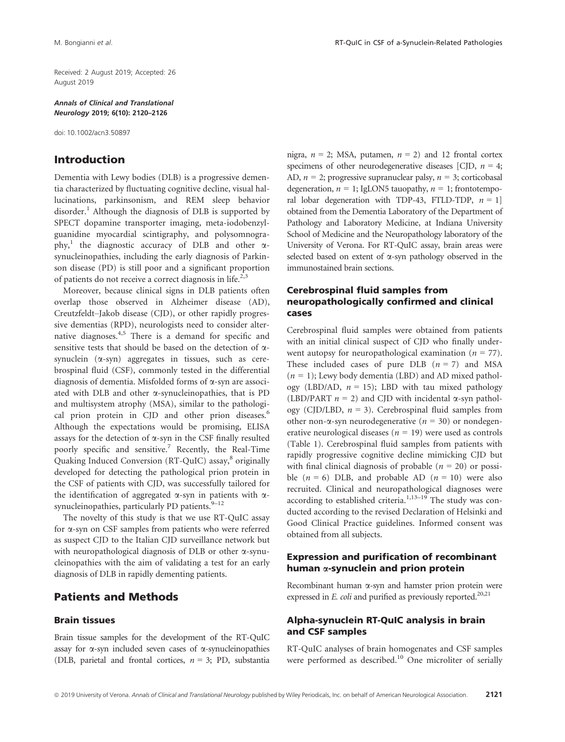Received: 2 August 2019; Accepted: 26 August 2019

Annals of Clinical and Translational Neurology 2019; 6(10): 2120–2126

doi: 10.1002/acn3.50897

## Introduction

Dementia with Lewy bodies (DLB) is a progressive dementia characterized by fluctuating cognitive decline, visual hallucinations, parkinsonism, and REM sleep behavior disorder.<sup>1</sup> Although the diagnosis of DLB is supported by SPECT dopamine transporter imaging, meta-iodobenzylguanidine myocardial scintigraphy, and polysomnography,<sup>1</sup> the diagnostic accuracy of DLB and other  $\alpha$ synucleinopathies, including the early diagnosis of Parkinson disease (PD) is still poor and a significant proportion of patients do not receive a correct diagnosis in life.<sup>2,3</sup>

Moreover, because clinical signs in DLB patients often overlap those observed in Alzheimer disease (AD), Creutzfeldt–Jakob disease (CJD), or other rapidly progressive dementias (RPD), neurologists need to consider alternative diagnoses.4,5 There is a demand for specific and sensitive tests that should be based on the detection of asynuclein  $(\alpha$ -syn) aggregates in tissues, such as cerebrospinal fluid (CSF), commonly tested in the differential diagnosis of dementia. Misfolded forms of a-syn are associated with DLB and other  $\alpha$ -synucleinopathies, that is PD and multisystem atrophy (MSA), similar to the pathological prion protein in CJD and other prion diseases.<sup>6</sup> Although the expectations would be promising, ELISA assays for the detection of  $\alpha$ -syn in the CSF finally resulted poorly specific and sensitive.<sup>7</sup> Recently, the Real-Time Quaking Induced Conversion (RT-QuIC) assay,<sup>8</sup> originally developed for detecting the pathological prion protein in the CSF of patients with CJD, was successfully tailored for the identification of aggregated  $\alpha$ -syn in patients with  $\alpha$ synucleinopathies, particularly PD patients. $9-12$ 

The novelty of this study is that we use RT-QuIC assay for a-syn on CSF samples from patients who were referred as suspect CJD to the Italian CJD surveillance network but with neuropathological diagnosis of DLB or other  $\alpha$ -synucleinopathies with the aim of validating a test for an early diagnosis of DLB in rapidly dementing patients.

## Patients and Methods

#### Brain tissues

Brain tissue samples for the development of the RT-QuIC assay for  $\alpha$ -syn included seven cases of  $\alpha$ -synucleinopathies (DLB, parietal and frontal cortices,  $n = 3$ ; PD, substantia nigra,  $n = 2$ ; MSA, putamen,  $n = 2$ ) and 12 frontal cortex specimens of other neurodegenerative diseases [CJD,  $n = 4$ ; AD,  $n = 2$ ; progressive supranuclear palsy,  $n = 3$ ; corticobasal degeneration,  $n = 1$ ; IgLON5 tauopathy,  $n = 1$ ; frontotemporal lobar degeneration with TDP-43, FTLD-TDP,  $n = 1$ ] obtained from the Dementia Laboratory of the Department of Pathology and Laboratory Medicine, at Indiana University School of Medicine and the Neuropathology laboratory of the University of Verona. For RT-QuIC assay, brain areas were selected based on extent of a-syn pathology observed in the immunostained brain sections.

## Cerebrospinal fluid samples from neuropathologically confirmed and clinical cases

Cerebrospinal fluid samples were obtained from patients with an initial clinical suspect of CJD who finally underwent autopsy for neuropathological examination ( $n = 77$ ). These included cases of pure DLB  $(n = 7)$  and MSA  $(n = 1)$ ; Lewy body dementia (LBD) and AD mixed pathology (LBD/AD,  $n = 15$ ); LBD with tau mixed pathology (LBD/PART  $n = 2$ ) and CJD with incidental  $\alpha$ -syn pathology (CJD/LBD,  $n = 3$ ). Cerebrospinal fluid samples from other non- $\alpha$ -syn neurodegenerative ( $n = 30$ ) or nondegenerative neurological diseases ( $n = 19$ ) were used as controls (Table 1). Cerebrospinal fluid samples from patients with rapidly progressive cognitive decline mimicking CJD but with final clinical diagnosis of probable ( $n = 20$ ) or possible  $(n = 6)$  DLB, and probable AD  $(n = 10)$  were also recruited. Clinical and neuropathological diagnoses were according to established criteria. $1,13-19$  The study was conducted according to the revised Declaration of Helsinki and Good Clinical Practice guidelines. Informed consent was obtained from all subjects.

#### Expression and purification of recombinant human  $\alpha$ -synuclein and prion protein

Recombinant human  $\alpha$ -syn and hamster prion protein were expressed in  $E$ . *coli* and purified as previously reported.<sup>20,21</sup>

#### Alpha-synuclein RT-QuIC analysis in brain and CSF samples

RT-QuIC analyses of brain homogenates and CSF samples were performed as described.<sup>10</sup> One microliter of serially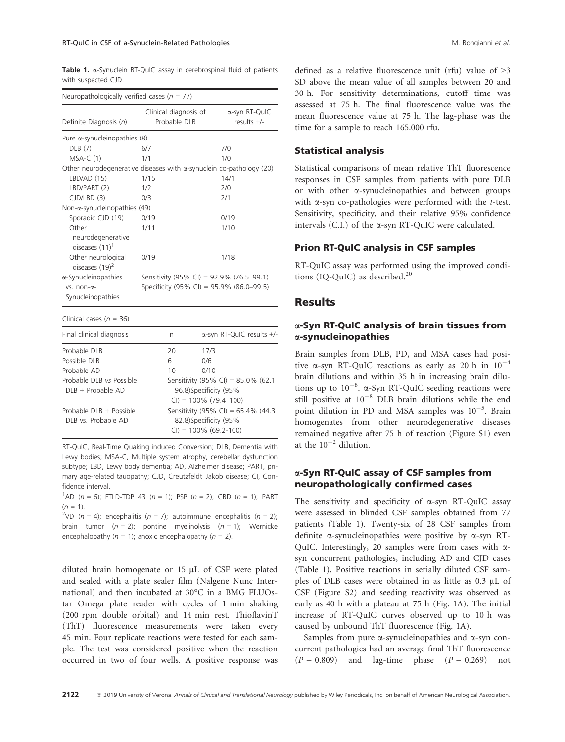Table 1.  $\alpha$ -Synuclein RT-QuIC assay in cerebrospinal fluid of patients with suspected CJD.

| Neuropathologically verified cases ( $n = 77$ )                             |                                                                                           |      |                                   |  |
|-----------------------------------------------------------------------------|-------------------------------------------------------------------------------------------|------|-----------------------------------|--|
| Definite Diagnosis (n)                                                      | Clinical diagnosis of<br>Probable DLB                                                     |      | α-syn RT-QuIC<br>results $+/$     |  |
| Pure a-synucleinopathies (8)                                                |                                                                                           |      |                                   |  |
| DLB (7)                                                                     | 6/7                                                                                       |      | 7/0                               |  |
| $MSA-C(1)$                                                                  | 1/1                                                                                       |      | 1/0                               |  |
| Other neurodegenerative diseases with $\alpha$ -synuclein co-pathology (20) |                                                                                           |      |                                   |  |
| LBD/AD (15)                                                                 | 1/15                                                                                      |      | 14/1                              |  |
| LBD/PART (2)                                                                | 1/2                                                                                       |      | 2/0                               |  |
| CJD/LBD (3)                                                                 | 0/3                                                                                       |      | 2/1                               |  |
| Non-α-synucleinopathies (49)                                                |                                                                                           |      |                                   |  |
| Sporadic CJD (19)                                                           | 0/19                                                                                      |      | 0/19                              |  |
| Other<br>neurodegenerative<br>diseases $(11)^1$                             | 1/11                                                                                      |      | 1/10                              |  |
| Other neurological<br>diseases $(19)^2$                                     | 0/19                                                                                      |      | 1/18                              |  |
| a-Synucleinopathies<br>$vs. non-\alpha-$<br>Synucleinopathies               | Sensitivity (95% CI) = 92.9% (76.5-99.1)<br>Specificity (95% CI) = 95.9% (86.0-99.5)      |      |                                   |  |
| Clinical cases ( $n = 36$ )                                                 |                                                                                           |      |                                   |  |
| Final clinical diagnosis                                                    | n                                                                                         |      | $\alpha$ -syn RT-QuIC results +/- |  |
| Probable DLB                                                                | 20                                                                                        | 17/3 |                                   |  |
| Possible DLB                                                                | 6                                                                                         | 0/6  |                                   |  |
| Probable AD                                                                 | 10                                                                                        | 0/10 |                                   |  |
| Probable DLB vs Possible<br>DLB + Probable AD                               | Sensitivity (95% CI) = 85.0% (62.1<br>-96.8)Specificity (95%<br>$CI$ ) = 100% (79.4-100)  |      |                                   |  |
| Probable DLB + Possible<br>DLB vs. Probable AD                              | Sensitivity (95% CI) = 65.4% (44.3)<br>-82.8)Specificity (95%<br>$CI$ ) = 100% (69.2-100) |      |                                   |  |

RT-QuIC, Real-Time Quaking induced Conversion; DLB, Dementia with Lewy bodies; MSA-C, Multiple system atrophy, cerebellar dysfunction subtype; LBD, Lewy body dementia; AD, Alzheimer disease; PART, primary age-related tauopathy; CJD, Creutzfeldt–Jakob disease; CI, Confidence interval.

<sup>1</sup>AD ( $n = 6$ ); FTLD-TDP 43 ( $n = 1$ ); PSP ( $n = 2$ ); CBD ( $n = 1$ ); PART  $(n = 1)$ .

<sup>2</sup>VD ( $n = 4$ ); encephalitis ( $n = 7$ ); autoimmune encephalitis ( $n = 2$ ); brain tumor  $(n = 2)$ ; pontine myelinolysis  $(n = 1)$ ; Wernicke encephalopathy ( $n = 1$ ); anoxic encephalopathy ( $n = 2$ ).

diluted brain homogenate or 15 µL of CSF were plated and sealed with a plate sealer film (Nalgene Nunc International) and then incubated at 30°C in a BMG FLUOstar Omega plate reader with cycles of 1 min shaking (200 rpm double orbital) and 14 min rest. ThioflavinT (ThT) fluorescence measurements were taken every 45 min. Four replicate reactions were tested for each sample. The test was considered positive when the reaction occurred in two of four wells. A positive response was defined as a relative fluorescence unit (rfu) value of >3 SD above the mean value of all samples between 20 and 30 h. For sensitivity determinations, cutoff time was assessed at 75 h. The final fluorescence value was the mean fluorescence value at 75 h. The lag-phase was the time for a sample to reach 165.000 rfu.

#### Statistical analysis

Statistical comparisons of mean relative ThT fluorescence responses in CSF samples from patients with pure DLB or with other a-synucleinopathies and between groups with  $\alpha$ -syn co-pathologies were performed with the *t*-test. Sensitivity, specificity, and their relative 95% confidence intervals  $(C.I.)$  of the  $\alpha$ -syn RT-QuIC were calculated.

#### Prion RT-QuIC analysis in CSF samples

RT-QuIC assay was performed using the improved conditions (IQ-QuIC) as described.<sup>20</sup>

#### **Results**

#### a-Syn RT-QuIC analysis of brain tissues from a-synucleinopathies

Brain samples from DLB, PD, and MSA cases had positive  $\alpha$ -syn RT-QuIC reactions as early as 20 h in  $10^{-4}$ brain dilutions and within 35 h in increasing brain dilutions up to  $10^{-8}$ .  $\alpha$ -Syn RT-QuIC seeding reactions were<br>still positive at  $10^{-8}$ . DLB brain dilutions while the end still positive at  $10^{-8}$  DLB brain dilutions while the end point dilution in PD and MSA samples was  $10^{-5}$ . Brain homogenates from other neurodegenerative diseases remained negative after 75 h of reaction (Figure S1) even at the  $10^{-2}$  dilution.

#### a-Syn RT-QuIC assay of CSF samples from neuropathologically confirmed cases

The sensitivity and specificity of  $\alpha$ -syn RT-QuIC assay were assessed in blinded CSF samples obtained from 77 patients (Table 1). Twenty-six of 28 CSF samples from definite  $\alpha$ -synucleinopathies were positive by  $\alpha$ -syn RT-QuIC. Interestingly, 20 samples were from cases with  $\alpha$ syn concurrent pathologies, including AD and CJD cases (Table 1). Positive reactions in serially diluted CSF samples of DLB cases were obtained in as little as 0.3 µL of CSF (Figure S2) and seeding reactivity was observed as early as 40 h with a plateau at 75 h (Fig. 1A). The initial increase of RT-QuIC curves observed up to 10 h was caused by unbound ThT fluorescence (Fig. 1A).

Samples from pure  $\alpha$ -synucleinopathies and  $\alpha$ -syn concurrent pathologies had an average final ThT fluorescence  $(P = 0.809)$  and lag-time phase  $(P = 0.269)$  not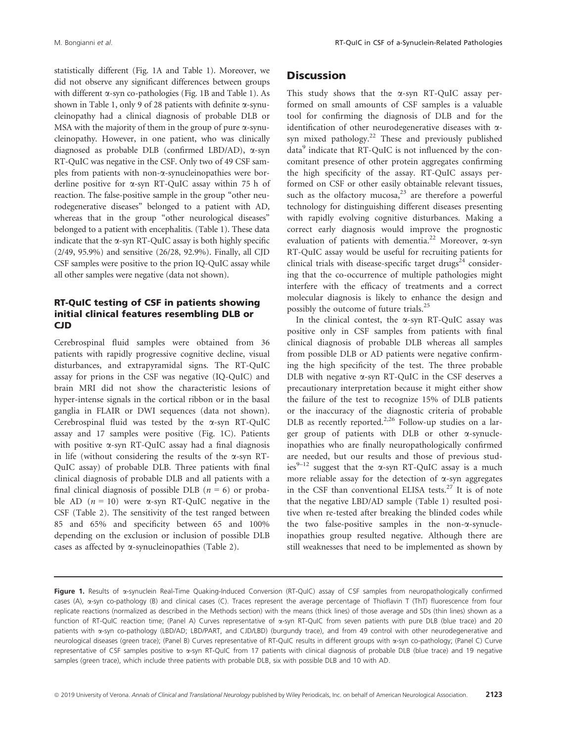statistically different (Fig. 1A and Table 1). Moreover, we did not observe any significant differences between groups with different  $\alpha$ -syn co-pathologies (Fig. 1B and Table 1). As shown in Table 1, only 9 of 28 patients with definite  $\alpha$ -synucleinopathy had a clinical diagnosis of probable DLB or MSA with the majority of them in the group of pure  $\alpha$ -synucleinopathy. However, in one patient, who was clinically diagnosed as probable DLB (confirmed LBD/AD), a-syn RT-QuIC was negative in the CSF. Only two of 49 CSF samples from patients with non- $\alpha$ -synucleinopathies were borderline positive for a-syn RT-QuIC assay within 75 h of reaction. The false-positive sample in the group "other neurodegenerative diseases" belonged to a patient with AD, whereas that in the group "other neurological diseases" belonged to a patient with encephalitis. (Table 1). These data indicate that the  $\alpha$ -syn RT-QuIC assay is both highly specific (2/49, 95.9%) and sensitive (26/28, 92.9%). Finally, all CJD CSF samples were positive to the prion IQ-QuIC assay while all other samples were negative (data not shown).

#### RT-QuIC testing of CSF in patients showing initial clinical features resembling DLB or CJD

Cerebrospinal fluid samples were obtained from 36 patients with rapidly progressive cognitive decline, visual disturbances, and extrapyramidal signs. The RT-QuIC assay for prions in the CSF was negative (IQ-QuIC) and brain MRI did not show the characteristic lesions of hyper-intense signals in the cortical ribbon or in the basal ganglia in FLAIR or DWI sequences (data not shown). Cerebrospinal fluid was tested by the a-syn RT-QuIC assay and 17 samples were positive (Fig. 1C). Patients with positive  $\alpha$ -syn RT-QuIC assay had a final diagnosis in life (without considering the results of the  $\alpha$ -syn RT-QuIC assay) of probable DLB. Three patients with final clinical diagnosis of probable DLB and all patients with a final clinical diagnosis of possible DLB ( $n = 6$ ) or probable AD  $(n = 10)$  were  $\alpha$ -syn RT-QuIC negative in the CSF (Table 2). The sensitivity of the test ranged between 85 and 65% and specificity between 65 and 100% depending on the exclusion or inclusion of possible DLB cases as affected by  $\alpha$ -synucleinopathies (Table 2).

# **Discussion**

This study shows that the  $\alpha$ -syn RT-QuIC assay performed on small amounts of CSF samples is a valuable tool for confirming the diagnosis of DLB and for the identification of other neurodegenerative diseases with asyn mixed pathology.<sup>22</sup> These and previously published data<sup>9</sup> indicate that RT-QuIC is not influenced by the concomitant presence of other protein aggregates confirming the high specificity of the assay. RT-QuIC assays performed on CSF or other easily obtainable relevant tissues, such as the olfactory mucosa, $23$  are therefore a powerful technology for distinguishing different diseases presenting with rapidly evolving cognitive disturbances. Making a correct early diagnosis would improve the prognostic evaluation of patients with dementia.<sup>22</sup> Moreover,  $\alpha$ -syn RT-QuIC assay would be useful for recruiting patients for clinical trials with disease-specific target drugs<sup>24</sup> considering that the co-occurrence of multiple pathologies might interfere with the efficacy of treatments and a correct molecular diagnosis is likely to enhance the design and possibly the outcome of future trials.<sup>25</sup>

In the clinical contest, the a-syn RT-QuIC assay was positive only in CSF samples from patients with final clinical diagnosis of probable DLB whereas all samples from possible DLB or AD patients were negative confirming the high specificity of the test. The three probable DLB with negative  $\alpha$ -syn RT-QuIC in the CSF deserves a precautionary interpretation because it might either show the failure of the test to recognize 15% of DLB patients or the inaccuracy of the diagnostic criteria of probable DLB as recently reported.<sup>2,26</sup> Follow-up studies on a larger group of patients with DLB or other a-synucleinopathies who are finally neuropathologically confirmed are needed, but our results and those of previous studies<sup>9–12</sup> suggest that the  $\alpha$ -syn RT-QuIC assay is a much more reliable assay for the detection of  $\alpha$ -syn aggregates in the CSF than conventional ELISA tests.<sup>27</sup> It is of note that the negative LBD/AD sample (Table 1) resulted positive when re-tested after breaking the blinded codes while the two false-positive samples in the non- $\alpha$ -synucleinopathies group resulted negative. Although there are still weaknesses that need to be implemented as shown by

Figure 1. Results of a-synuclein Real-Time Quaking-Induced Conversion (RT-QuIC) assay of CSF samples from neuropathologically confirmed cases (A), a-syn co-pathology (B) and clinical cases (C). Traces represent the average percentage of Thioflavin T (ThT) fluorescence from four replicate reactions (normalized as described in the Methods section) with the means (thick lines) of those average and SDs (thin lines) shown as a function of RT-QuIC reaction time; (Panel A) Curves representative of a-syn RT-QuIC from seven patients with pure DLB (blue trace) and 20 patients with a-syn co-pathology (LBD/AD; LBD/PART, and CJD/LBD) (burgundy trace), and from 49 control with other neurodegenerative and neurological diseases (green trace); (Panel B) Curves representative of RT-QuIC results in different groups with a-syn co-pathology; (Panel C) Curve representative of CSF samples positive to  $\alpha$ -syn RT-QuIC from 17 patients with clinical diagnosis of probable DLB (blue trace) and 19 negative samples (green trace), which include three patients with probable DLB, six with possible DLB and 10 with AD.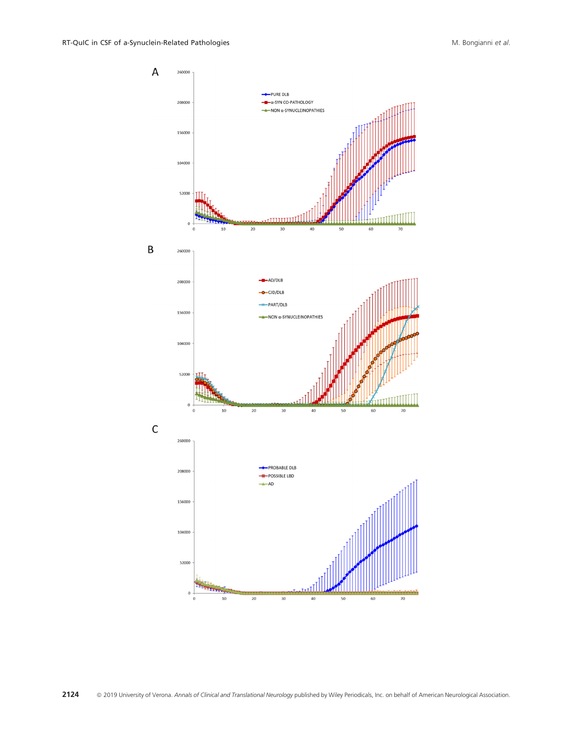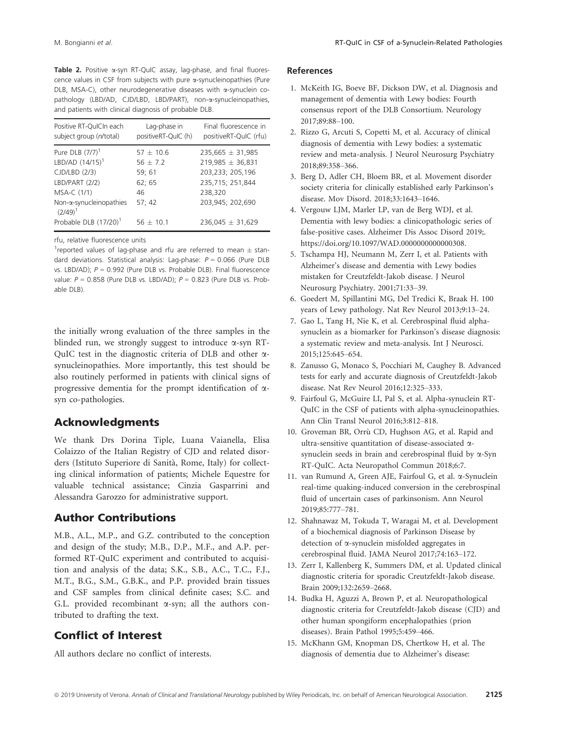Table 2. Positive  $\alpha$ -syn RT-QuIC assay, lag-phase, and final fluorescence values in CSF from subjects with pure a-synucleinopathies (Pure DLB, MSA-C), other neurodegenerative diseases with  $\alpha$ -synuclein copathology (LBD/AD, CJD/LBD, LBD/PART), non-a-synucleinopathies, and patients with clinical diagnosis of probable DLB.

| Positive RT-QulCIn each                                                    | Lag-phase in           | Final fluorescence in                    |
|----------------------------------------------------------------------------|------------------------|------------------------------------------|
| subject group (n/total)                                                    | positiveRT-QuIC (h)    | positiveRT-QuIC (rfu)                    |
| Pure DLB $(7/7)^1$                                                         | $57 + 10.6$            | $235,665 \pm 31,985$                     |
| LBD/AD $(14/15)^{1}$                                                       | $56 + 7.2$             | $219,985 \pm 36,831$                     |
| CJD/LBD (2/3)                                                              | 59; 61                 | 203,233; 205,196                         |
| LBD/PART (2/2)                                                             | 62; 65                 | 235,715; 251,844                         |
| MSA-C (1/1)                                                                | 46                     | 238,320                                  |
| Non-α-synucleinopathies<br>$(2/49)^1$<br>Probable DLB (17/20) <sup>1</sup> | 57:42<br>$56 \pm 10.1$ | 203,945; 202,690<br>$236,045 \pm 31,629$ |

rfu, relative fluorescence units

<sup>1</sup> reported values of lag-phase and rfu are referred to mean  $\pm$  standard deviations. Statistical analysis: Lag-phase:  $P = 0.066$  (Pure DLB vs. LBD/AD);  $P = 0.992$  (Pure DLB vs. Probable DLB). Final fluorescence value:  $P = 0.858$  (Pure DLB vs. LBD/AD);  $P = 0.823$  (Pure DLB vs. Probable DLB).

the initially wrong evaluation of the three samples in the blinded run, we strongly suggest to introduce  $\alpha$ -syn RT-QuIC test in the diagnostic criteria of DLB and other  $\alpha$ synucleinopathies. More importantly, this test should be also routinely performed in patients with clinical signs of progressive dementia for the prompt identification of  $\alpha$ syn co-pathologies.

# Acknowledgments

We thank Drs Dorina Tiple, Luana Vaianella, Elisa Colaizzo of the Italian Registry of CJD and related disorders (Istituto Superiore di Sanita, Rome, Italy) for collecting clinical information of patients; Michele Equestre for valuable technical assistance; Cinzia Gasparrini and Alessandra Garozzo for administrative support.

# Author Contributions

M.B., A.L., M.P., and G.Z. contributed to the conception and design of the study; M.B., D.P., M.F., and A.P. performed RT-QuIC experiment and contributed to acquisition and analysis of the data; S.K., S.B., A.C., T.C., F.J., M.T., B.G., S.M., G.B.K., and P.P. provided brain tissues and CSF samples from clinical definite cases; S.C. and G.L. provided recombinant  $\alpha$ -syn; all the authors contributed to drafting the text.

## Conflict of Interest

All authors declare no conflict of interests.

#### References

- 1. McKeith IG, Boeve BF, Dickson DW, et al. Diagnosis and management of dementia with Lewy bodies: Fourth consensus report of the DLB Consortium. Neurology 2017;89:88–100.
- 2. Rizzo G, Arcuti S, Copetti M, et al. Accuracy of clinical diagnosis of dementia with Lewy bodies: a systematic review and meta-analysis. J Neurol Neurosurg Psychiatry 2018;89:358–366.
- 3. Berg D, Adler CH, Bloem BR, et al. Movement disorder society criteria for clinically established early Parkinson's disease. Mov Disord. 2018;33:1643–1646.
- 4. Vergouw LJM, Marler LP, van de Berg WDJ, et al. Dementia with lewy bodies: a clinicopathologic series of false-positive cases. Alzheimer Dis Assoc Disord 2019;. [https://doi.org/10.1097/WAD.0000000000000308.](https://doi.org/10.1097/WAD.0000000000000308)
- 5. Tschampa HJ, Neumann M, Zerr I, et al. Patients with Alzheimer's disease and dementia with Lewy bodies mistaken for Creutzfeldt-Jakob disease. J Neurol Neurosurg Psychiatry. 2001;71:33–39.
- 6. Goedert M, Spillantini MG, Del Tredici K, Braak H. 100 years of Lewy pathology. Nat Rev Neurol 2013;9:13–24.
- 7. Gao L, Tang H, Nie K, et al. Cerebrospinal fluid alphasynuclein as a biomarker for Parkinson's disease diagnosis: a systematic review and meta-analysis. Int J Neurosci. 2015;125:645–654.
- 8. Zanusso G, Monaco S, Pocchiari M, Caughey B. Advanced tests for early and accurate diagnosis of Creutzfeldt-Jakob disease. Nat Rev Neurol 2016;12:325–333.
- 9. Fairfoul G, McGuire LI, Pal S, et al. Alpha-synuclein RT-QuIC in the CSF of patients with alpha-synucleinopathies. Ann Clin Transl Neurol 2016;3:812–818.
- 10. Groveman BR, Orrù CD, Hughson AG, et al. Rapid and ultra-sensitive quantitation of disease-associated asynuclein seeds in brain and cerebrospinal fluid by a-Syn RT-QuIC. Acta Neuropathol Commun 2018;6:7.
- 11. van Rumund A, Green AJE, Fairfoul G, et al. a-Synuclein real-time quaking-induced conversion in the cerebrospinal fluid of uncertain cases of parkinsonism. Ann Neurol 2019;85:777–781.
- 12. Shahnawaz M, Tokuda T, Waragai M, et al. Development of a biochemical diagnosis of Parkinson Disease by detection of a-synuclein misfolded aggregates in cerebrospinal fluid. JAMA Neurol 2017;74:163–172.
- 13. Zerr I, Kallenberg K, Summers DM, et al. Updated clinical diagnostic criteria for sporadic Creutzfeldt-Jakob disease. Brain 2009;132:2659–2668.
- 14. Budka H, Aguzzi A, Brown P, et al. Neuropathological diagnostic criteria for Creutzfeldt-Jakob disease (CJD) and other human spongiform encephalopathies (prion diseases). Brain Pathol 1995;5:459–466.
- 15. McKhann GM, Knopman DS, Chertkow H, et al. The diagnosis of dementia due to Alzheimer's disease: